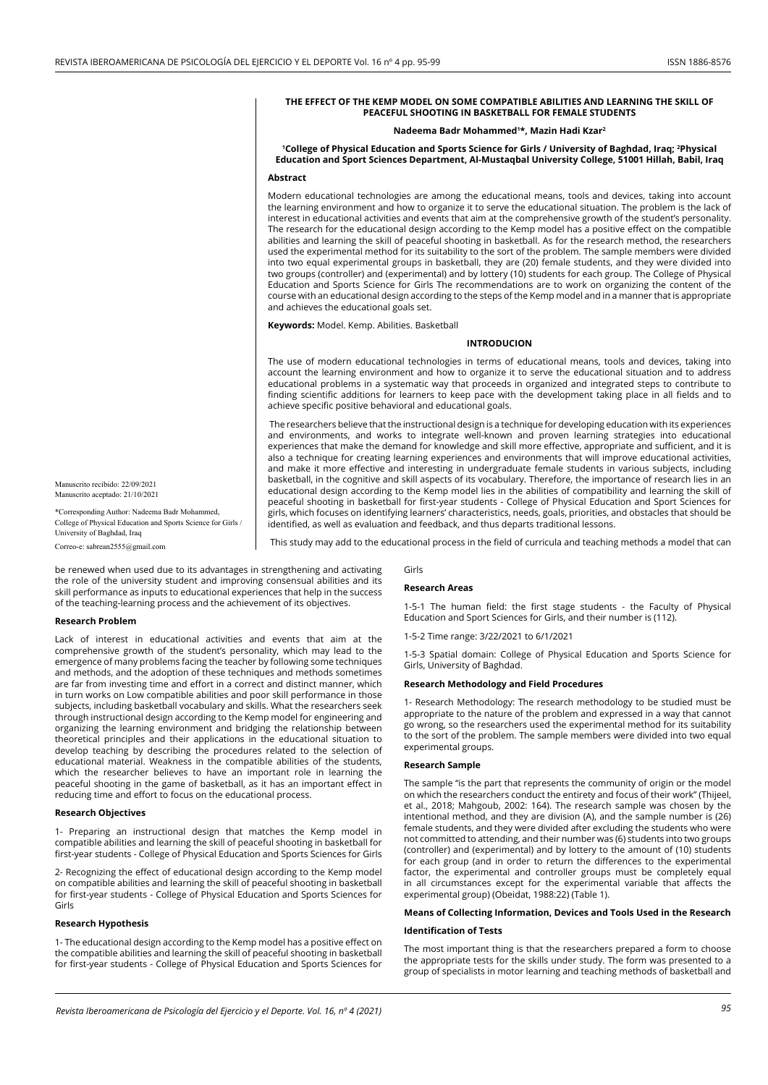## **THE EFFECT OF THE KEMP MODEL ON SOME COMPATIBLE ABILITIES AND LEARNING THE SKILL OF PEACEFUL SHOOTING IN BASKETBALL FOR FEMALE STUDENTS**

#### **Nadeema Badr Mohammed1 \*, Mazin Hadi Kzar2**

**1College of Physical Education and Sports Science for Girls / University of Baghdad, Iraq; 2 Physical Education and Sport Sciences Department, Al-Mustaqbal University College, 51001 Hillah, Babil, Iraq Abstract**

Modern educational technologies are among the educational means, tools and devices, taking into account the learning environment and how to organize it to serve the educational situation. The problem is the lack of interest in educational activities and events that aim at the comprehensive growth of the student's personality. The research for the educational design according to the Kemp model has a positive effect on the compatible abilities and learning the skill of peaceful shooting in basketball. As for the research method, the researchers used the experimental method for its suitability to the sort of the problem. The sample members were divided into two equal experimental groups in basketball, they are (20) female students, and they were divided into two groups (controller) and (experimental) and by lottery (10) students for each group. The College of Physical Education and Sports Science for Girls The recommendations are to work on organizing the content of the course with an educational design according to the steps of the Kemp model and in a manner that is appropriate and achieves the educational goals set.

**Keywords:** Model. Kemp. Abilities. Basketball

## **Introducion**

The use of modern educational technologies in terms of educational means, tools and devices, taking into account the learning environment and how to organize it to serve the educational situation and to address educational problems in a systematic way that proceeds in organized and integrated steps to contribute to finding scientific additions for learners to keep pace with the development taking place in all fields and to achieve specific positive behavioral and educational goals.

 The researchers believe that the instructional design is a technique for developing education with its experiences and environments, and works to integrate well-known and proven learning strategies into educational experiences that make the demand for knowledge and skill more effective, appropriate and sufficient, and it is also a technique for creating learning experiences and environments that will improve educational activities, and make it more effective and interesting in undergraduate female students in various subjects, including basketball, in the cognitive and skill aspects of its vocabulary. Therefore, the importance of research lies in an educational design according to the Kemp model lies in the abilities of compatibility and learning the skill of peaceful shooting in basketball for first-year students - College of Physical Education and Sport Sciences for girls, which focuses on identifying learners' characteristics, needs, goals, priorities, and obstacles that should be identified, as well as evaluation and feedback, and thus departs traditional lessons.

This study may add to the educational process in the field of curricula and teaching methods a model that can

Correo-e: sabrean2555@gmail.com

\*Corresponding Author: Nadeema Badr Mohammed, College of Physical Education and Sports Science for Girls /

Manuscrito recibido: 22/09/2021 Manuscrito aceptado: 21/10/2021

University of Baghdad, Iraq

be renewed when used due to its advantages in strengthening and activating the role of the university student and improving consensual abilities and its skill performance as inputs to educational experiences that help in the success of the teaching-learning process and the achievement of its objectives.

#### **Research Problem**

Lack of interest in educational activities and events that aim at the comprehensive growth of the student's personality, which may lead to the emergence of many problems facing the teacher by following some techniques and methods, and the adoption of these techniques and methods sometimes are far from investing time and effort in a correct and distinct manner, which in turn works on Low compatible abilities and poor skill performance in those subjects, including basketball vocabulary and skills. What the researchers seek through instructional design according to the Kemp model for engineering and organizing the learning environment and bridging the relationship between theoretical principles and their applications in the educational situation to develop teaching by describing the procedures related to the selection of educational material. Weakness in the compatible abilities of the students, which the researcher believes to have an important role in learning the peaceful shooting in the game of basketball, as it has an important effect in reducing time and effort to focus on the educational process.

## **Research Objectives**

1- Preparing an instructional design that matches the Kemp model in compatible abilities and learning the skill of peaceful shooting in basketball for first-year students - College of Physical Education and Sports Sciences for Girls

2- Recognizing the effect of educational design according to the Kemp model on compatible abilities and learning the skill of peaceful shooting in basketball for first-year students - College of Physical Education and Sports Sciences for Girls

#### **Research Hypothesis**

1- The educational design according to the Kemp model has a positive effect on the compatible abilities and learning the skill of peaceful shooting in basketball for first-year students - College of Physical Education and Sports Sciences for

# Girls

### **Research Areas**

1-5-1 The human field: the first stage students - the Faculty of Physical Education and Sport Sciences for Girls, and their number is (112).

1-5-2 Time range: 3/22/2021 to 6/1/2021

1-5-3 Spatial domain: College of Physical Education and Sports Science for Girls, University of Baghdad.

## **Research Methodology and Field Procedures**

1- Research Methodology: The research methodology to be studied must be appropriate to the nature of the problem and expressed in a way that cannot go wrong, so the researchers used the experimental method for its suitability to the sort of the problem. The sample members were divided into two equal experimental groups.

### **Research Sample**

The sample "is the part that represents the community of origin or the model on which the researchers conduct the entirety and focus of their work" (Thijeel, et al., 2018; Mahgoub, 2002: 164). The research sample was chosen by the intentional method, and they are division (A), and the sample number is (26) female students, and they were divided after excluding the students who were not committed to attending, and their number was (6) students into two groups (controller) and (experimental) and by lottery to the amount of (10) students for each group (and in order to return the differences to the experimental factor, the experimental and controller groups must be completely equal in all circumstances except for the experimental variable that affects the experimental group) (Obeidat, 1988:22) (Table 1).

# **Means of Collecting Information, Devices and Tools Used in the Research**

#### **Identification of Tests**

The most important thing is that the researchers prepared a form to choose the appropriate tests for the skills under study. The form was presented to a group of specialists in motor learning and teaching methods of basketball and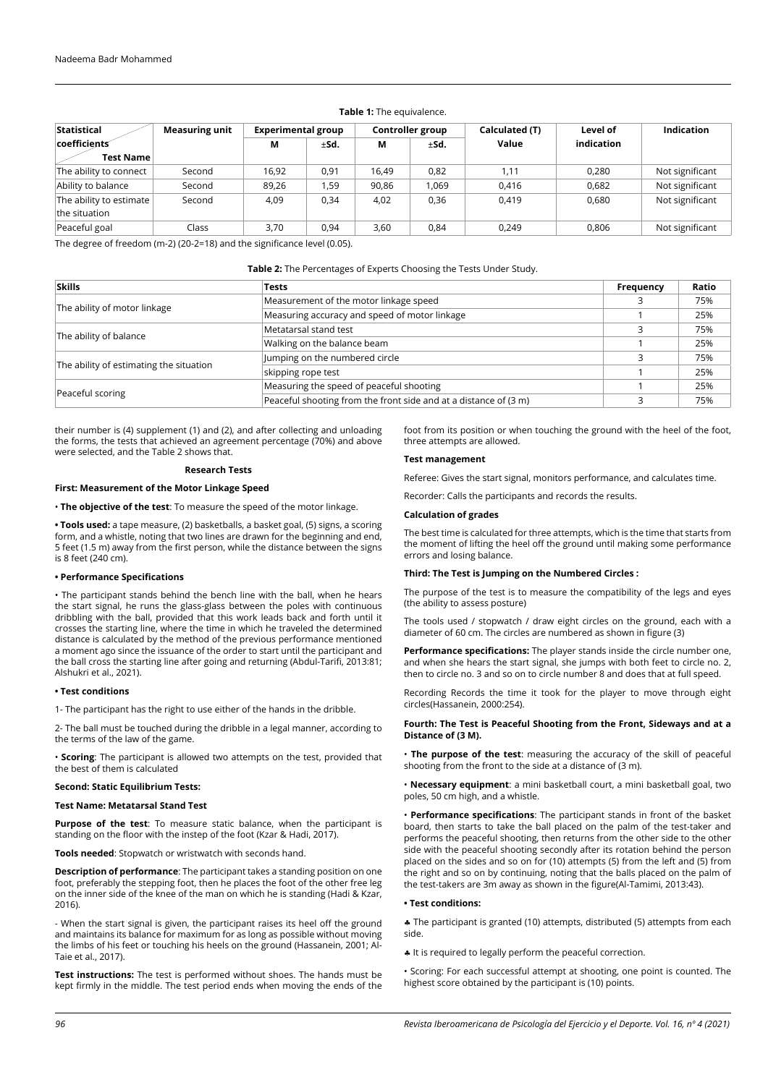## **Table 1:** The equivalence.

| <b>Statistical</b>      | <b>Measuring unit</b> | <b>Experimental group</b> |      |       | Controller group | Calculated (T) | Level of   | <b>Indication</b> |
|-------------------------|-----------------------|---------------------------|------|-------|------------------|----------------|------------|-------------------|
| coefficients            |                       | М                         | ±Sd. | М     | ±Sd.             | Value          | indication |                   |
| <b>Test Name</b>        |                       |                           |      |       |                  |                |            |                   |
| The ability to connect  | Second                | 16,92                     | 0,91 | 16,49 | 0,82             | 1.11           | 0,280      | Not significant   |
| Ability to balance      | Second                | 89,26                     | 1,59 | 90,86 | 1,069            | 0.416          | 0.682      | Not significant   |
| The ability to estimate | Second                | 4,09                      | 0,34 | 4,02  | 0,36             | 0.419          | 0.680      | Not significant   |
| the situation           |                       |                           |      |       |                  |                |            |                   |
| Peaceful goal           | Class                 | 3,70                      | 0,94 | 3,60  | 0,84             | 0.249          | 0,806      | Not significant   |

The degree of freedom (m-2) (20-2=18) and the significance level (0.05).

### **Table 2:** The Percentages of Experts Choosing the Tests Under Study.

| <b>Skills</b>                           | <b>Tests</b>                                                     | Frequency | Ratio |
|-----------------------------------------|------------------------------------------------------------------|-----------|-------|
|                                         | Measurement of the motor linkage speed                           |           | 75%   |
| The ability of motor linkage            | Measuring accuracy and speed of motor linkage                    |           | 25%   |
|                                         | Metatarsal stand test                                            |           | 75%   |
| The ability of balance                  | Walking on the balance beam                                      |           | 25%   |
|                                         | Jumping on the numbered circle                                   |           | 75%   |
| The ability of estimating the situation | skipping rope test                                               |           | 25%   |
|                                         | Measuring the speed of peaceful shooting                         |           | 25%   |
| Peaceful scoring                        | Peaceful shooting from the front side and at a distance of (3 m) |           | 75%   |

their number is (4) supplement (1) and (2), and after collecting and unloading the forms, the tests that achieved an agreement percentage (70%) and above were selected, and the Table 2 shows that.

### **Research Tests**

### **First: Measurement of the Motor Linkage Speed**

• **The objective of the test**: To measure the speed of the motor linkage.

**• Tools used:** a tape measure, (2) basketballs, a basket goal, (5) signs, a scoring form, and a whistle, noting that two lines are drawn for the beginning and end, 5 feet (1.5 m) away from the first person, while the distance between the signs is 8 feet (240 cm).

### **• Performance Specifications**

• The participant stands behind the bench line with the ball, when he hears the start signal, he runs the glass-glass between the poles with continuous dribbling with the ball, provided that this work leads back and forth until it crosses the starting line, where the time in which he traveled the determined distance is calculated by the method of the previous performance mentioned a moment ago since the issuance of the order to start until the participant and the ball cross the starting line after going and returning (Abdul-Tarifi, 2013:81; Alshukri et al., 2021).

## **• Test conditions**

1- The participant has the right to use either of the hands in the dribble.

2- The ball must be touched during the dribble in a legal manner, according to the terms of the law of the game.

• **Scoring**: The participant is allowed two attempts on the test, provided that the best of them is calculated

# **Second: Static Equilibrium Tests:**

#### **Test Name: Metatarsal Stand Test**

**Purpose of the test**: To measure static balance, when the participant is standing on the floor with the instep of the foot (Kzar & Hadi, 2017).

**Tools needed**: Stopwatch or wristwatch with seconds hand.

**Description of performance**: The participant takes a standing position on one foot, preferably the stepping foot, then he places the foot of the other free leg on the inner side of the knee of the man on which he is standing (Hadi & Kzar, 2016).

- When the start signal is given, the participant raises its heel off the ground and maintains its balance for maximum for as long as possible without moving the limbs of his feet or touching his heels on the ground (Hassanein, 2001; Al-Taie et al., 2017).

**Test instructions:** The test is performed without shoes. The hands must be kept firmly in the middle. The test period ends when moving the ends of the foot from its position or when touching the ground with the heel of the foot, three attempts are allowed.

# **Test management**

Referee: Gives the start signal, monitors performance, and calculates time.

Recorder: Calls the participants and records the results.

# **Calculation of grades**

The best time is calculated for three attempts, which is the time that starts from the moment of lifting the heel off the ground until making some performance errors and losing balance.

#### **Third: The Test is Jumping on the Numbered Circles :**

The purpose of the test is to measure the compatibility of the legs and eyes (the ability to assess posture)

The tools used / stopwatch / draw eight circles on the ground, each with a diameter of 60 cm. The circles are numbered as shown in figure (3)

**Performance specifications:** The player stands inside the circle number one, and when she hears the start signal, she jumps with both feet to circle no. 2, then to circle no. 3 and so on to circle number 8 and does that at full speed.

Recording Records the time it took for the player to move through eight circles(Hassanein, 2000:254).

## **Fourth: The Test is Peaceful Shooting from the Front, Sideways and at a Distance of (3 M).**

• **The purpose of the test**: measuring the accuracy of the skill of peaceful shooting from the front to the side at a distance of (3 m).

• **Necessary equipment**: a mini basketball court, a mini basketball goal, two poles, 50 cm high, and a whistle.

• **Performance specifications**: The participant stands in front of the basket board, then starts to take the ball placed on the palm of the test-taker and performs the peaceful shooting, then returns from the other side to the other side with the peaceful shooting secondly after its rotation behind the person placed on the sides and so on for (10) attempts (5) from the left and (5) from the right and so on by continuing, noting that the balls placed on the palm of the test-takers are 3m away as shown in the figure(Al-Tamimi, 2013:43).

### **• Test conditions:**

♣ The participant is granted (10) attempts, distributed (5) attempts from each side.

♣ It is required to legally perform the peaceful correction.

• Scoring: For each successful attempt at shooting, one point is counted. The highest score obtained by the participant is (10) points.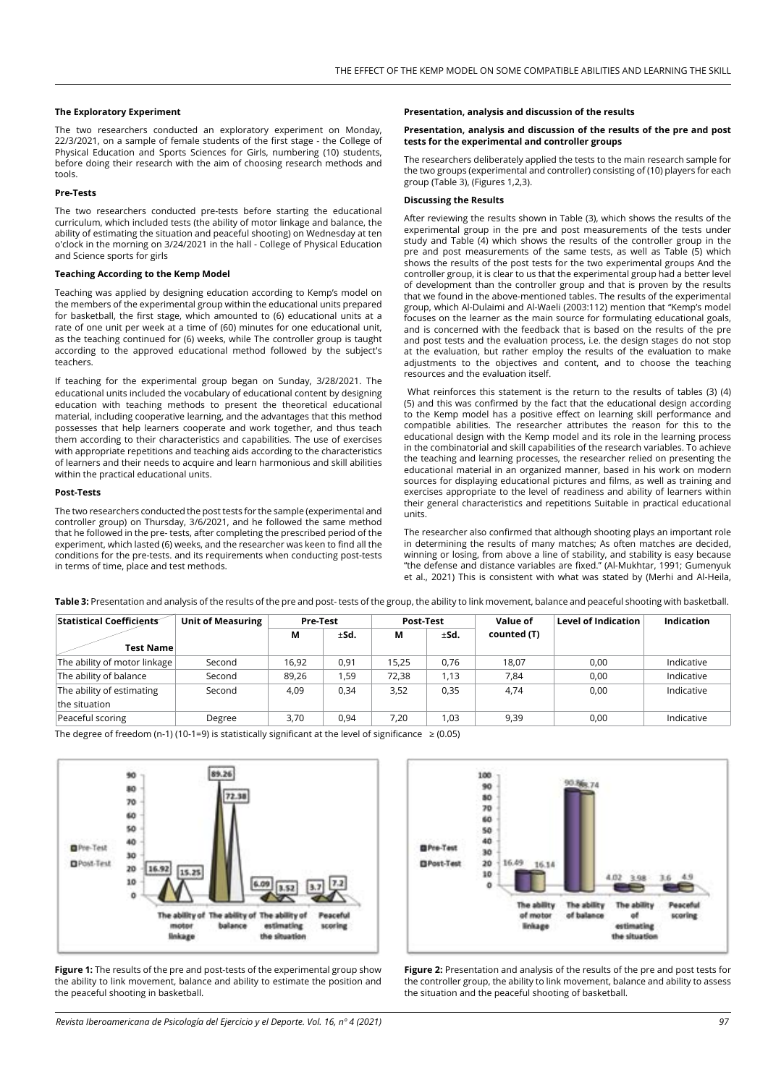## **The Exploratory Experiment**

The two researchers conducted an exploratory experiment on Monday, 22/3/2021, on a sample of female students of the first stage - the College of Physical Education and Sports Sciences for Girls, numbering (10) students, before doing their research with the aim of choosing research methods and tools.

# **Pre-Tests**

The two researchers conducted pre-tests before starting the educational curriculum, which included tests (the ability of motor linkage and balance, the ability of estimating the situation and peaceful shooting) on Wednesday at ten o'clock in the morning on 3/24/2021 in the hall - College of Physical Education and Science sports for girls

## **Teaching According to the Kemp Model**

Teaching was applied by designing education according to Kemp's model on the members of the experimental group within the educational units prepared for basketball, the first stage, which amounted to (6) educational units at a rate of one unit per week at a time of (60) minutes for one educational unit, as the teaching continued for (6) weeks, while The controller group is taught according to the approved educational method followed by the subject's teachers.

If teaching for the experimental group began on Sunday, 3/28/2021. The educational units included the vocabulary of educational content by designing education with teaching methods to present the theoretical educational material, including cooperative learning, and the advantages that this method possesses that help learners cooperate and work together, and thus teach them according to their characteristics and capabilities. The use of exercises with appropriate repetitions and teaching aids according to the characteristics of learners and their needs to acquire and learn harmonious and skill abilities within the practical educational units.

# **Post-Tests**

The two researchers conducted the post tests for the sample (experimental and controller group) on Thursday, 3/6/2021, and he followed the same method that he followed in the pre- tests, after completing the prescribed period of the experiment, which lasted (6) weeks, and the researcher was keen to find all the conditions for the pre-tests. and its requirements when conducting post-tests in terms of time, place and test methods.

## **Presentation, analysis and discussion of the results**

## **Presentation, analysis and discussion of the results of the pre and post tests for the experimental and controller groups**

The researchers deliberately applied the tests to the main research sample for the two groups (experimental and controller) consisting of (10) players for each group (Table 3), (Figures 1,2,3).

### **Discussing the Results**

After reviewing the results shown in Table (3), which shows the results of the experimental group in the pre and post measurements of the tests under study and Table (4) which shows the results of the controller group in the pre and post measurements of the same tests, as well as Table (5) which shows the results of the post tests for the two experimental groups And the controller group, it is clear to us that the experimental group had a better level of development than the controller group and that is proven by the results that we found in the above-mentioned tables. The results of the experimental group, which Al-Dulaimi and Al-Waeli (2003:112) mention that "Kemp's model focuses on the learner as the main source for formulating educational goals, and is concerned with the feedback that is based on the results of the pre and post tests and the evaluation process, i.e. the design stages do not stop at the evaluation, but rather employ the results of the evaluation to make adjustments to the objectives and content, and to choose the teaching resources and the evaluation itself.

What reinforces this statement is the return to the results of tables (3) (4) (5) and this was confirmed by the fact that the educational design according to the Kemp model has a positive effect on learning skill performance and compatible abilities. The researcher attributes the reason for this to the educational design with the Kemp model and its role in the learning process in the combinatorial and skill capabilities of the research variables. To achieve the teaching and learning processes, the researcher relied on presenting the educational material in an organized manner, based in his work on modern sources for displaying educational pictures and films, as well as training and exercises appropriate to the level of readiness and ability of learners within their general characteristics and repetitions Suitable in practical educational units.

The researcher also confirmed that although shooting plays an important role in determining the results of many matches; As often matches are decided, winning or losing, from above a line of stability, and stability is easy because "the defense and distance variables are fixed." (Al-Mukhtar, 1991; Gumenyuk et al., 2021) This is consistent with what was stated by (Merhi and Al-Heila,

**Table 3:** Presentation and analysis of the results of the pre and post- tests of the group, the ability to link movement, balance and peaceful shooting with basketball.

| Statistical Coefficients                   | <b>Unit of Measuring</b> | <b>Pre-Test</b> |      | Post-Test |      | Value of    | <b>Level of Indication</b> | Indication |
|--------------------------------------------|--------------------------|-----------------|------|-----------|------|-------------|----------------------------|------------|
|                                            |                          | М<br>±Sd.       |      | ±Sd.<br>М |      | counted (T) |                            |            |
| <b>Test Name</b>                           |                          |                 |      |           |      |             |                            |            |
| The ability of motor linkage               | Second                   | 16.92           | 0,91 | 15,25     | 0,76 | 18.07       | 0,00                       | Indicative |
| The ability of balance                     | Second                   | 89,26           | 1,59 | 72,38     | 1,13 | 7,84        | 0,00                       | Indicative |
| The ability of estimating<br>the situation | Second                   | 4,09            | 0,34 | 3,52      | 0,35 | 4,74        | 0.00                       | Indicative |
| Peaceful scoring                           | Degree                   | 3,70            | 0,94 | 7,20      | 1,03 | 9,39        | 0,00                       | Indicative |

The degree of freedom (n-1) (10-1=9) is statistically significant at the level of significance  $\geq$  (0.05)



**Figure 1:** The results of the pre and post-tests of the experimental group show the ability to link movement, balance and ability to estimate the position and the peaceful shooting in basketball.



**Figure 2:** Presentation and analysis of the results of the pre and post tests for the controller group, the ability to link movement, balance and ability to assess the situation and the peaceful shooting of basketball.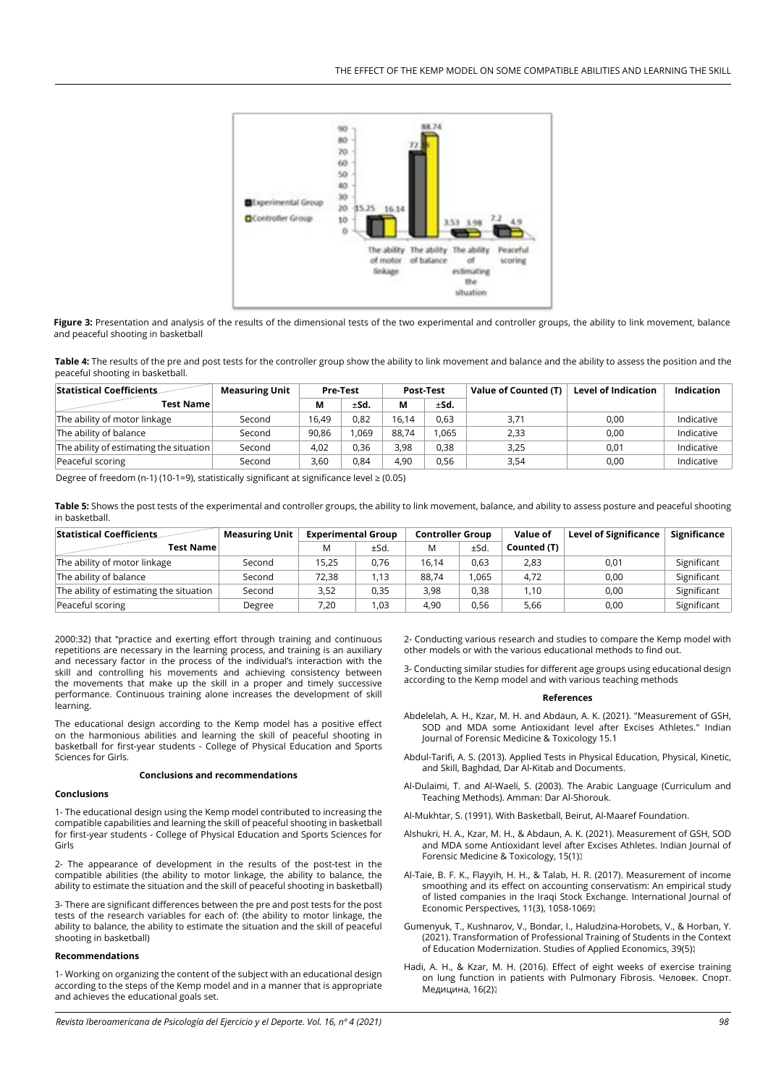

**Figure 3:** Presentation and analysis of the results of the dimensional tests of the two experimental and controller groups, the ability to link movement, balance and peaceful shooting in basketball

**Table 4:** The results of the pre and post tests for the controller group show the ability to link movement and balance and the ability to assess the position and the peaceful shooting in basketball.

| Statistical Coefficients                | <b>Measuring Unit</b> | Pre-Test |      | Post-Test |       | Value of Counted (T) | <b>Level of Indication</b> | <b>Indication</b> |
|-----------------------------------------|-----------------------|----------|------|-----------|-------|----------------------|----------------------------|-------------------|
| Test Name                               |                       | М        | ±Sd. | М         | ±Sd.  |                      |                            |                   |
| The ability of motor linkage            | Second                | 16.49    | 0.82 | 16.14     | 0.63  | 3,71                 | 0,00                       | Indicative        |
| The ability of balance                  | Second                | 90.86    | .069 | 88.74     | 1.065 | 2,33                 | 0,00                       | Indicative        |
| The ability of estimating the situation | Second                | 4,02     | 0.36 | 3,98      | 0.38  | 3,25                 | 0,01                       | Indicative        |
| Peaceful scoring                        | Second                | 3,60     | 0.84 | 4,90      | 0.56  | 3,54                 | 0,00                       | Indicative        |

Degree of freedom (n-1) (10-1=9), statistically significant at significance level  $\geq$  (0.05)

**Table 5:** Shows the post tests of the experimental and controller groups, the ability to link movement, balance, and ability to assess posture and peaceful shooting in basketball.

| <b>Statistical Coefficients</b>         | <b>Measuring Unit</b> | <b>Experimental Group</b> |      | <b>Controller Group</b> |      | Value of    | <b>Level of Significance</b> | Significance |
|-----------------------------------------|-----------------------|---------------------------|------|-------------------------|------|-------------|------------------------------|--------------|
| Test Namel                              |                       | M                         | ±Sd. | M                       | ±Sd. | Counted (T) |                              |              |
| The ability of motor linkage            | Second                | 15,25                     | 0,76 | 16.14                   | 0,63 | 2,83        | 0,01                         | Significant  |
| The ability of balance                  | Second                | 72,38                     | 1,13 | 88.74                   | .065 | 4,72        | 0,00                         | Significant  |
| The ability of estimating the situation | Second                | 3,52                      | 0,35 | 3,98                    | 0.38 | 1.10        | 0,00                         | Significant  |
| Peaceful scoring                        | Degree                | 7,20                      | 1,03 | 4,90                    | 0.56 | 5,66        | 0,00                         | Significant  |

2000:32) that "practice and exerting effort through training and continuous repetitions are necessary in the learning process, and training is an auxiliary and necessary factor in the process of the individual's interaction with the skill and controlling his movements and achieving consistency between the movements that make up the skill in a proper and timely successive performance. Continuous training alone increases the development of skill learning.

The educational design according to the Kemp model has a positive effect on the harmonious abilities and learning the skill of peaceful shooting in basketball for first-year students - College of Physical Education and Sports Sciences for Girls.

#### **Conclusions and recommendations**

## **Conclusions**

1- The educational design using the Kemp model contributed to increasing the compatible capabilities and learning the skill of peaceful shooting in basketball for first-year students - College of Physical Education and Sports Sciences for Girls

2- The appearance of development in the results of the post-test in the compatible abilities (the ability to motor linkage, the ability to balance, the ability to estimate the situation and the skill of peaceful shooting in basketball)

3- There are significant differences between the pre and post tests for the post tests of the research variables for each of: (the ability to motor linkage, the ability to balance, the ability to estimate the situation and the skill of peaceful shooting in basketball)

### **Recommendations**

1- Working on organizing the content of the subject with an educational design according to the steps of the Kemp model and in a manner that is appropriate and achieves the educational goals set.

2- Conducting various research and studies to compare the Kemp model with other models or with the various educational methods to find out.

3- Conducting similar studies for different age groups using educational design according to the Kemp model and with various teaching methods

### **References**

- [Abdelelah, A. H., Kzar, M. H. and Abdaun, A. K. \(2021\). "Measurement of GSH,](https://medicopublication.com/index.php/ijfmt/article/view/13782)  [SOD and MDA some Antioxidant level after Excises Athletes." Indian](https://medicopublication.com/index.php/ijfmt/article/view/13782)  [Journal of Forensic Medicine & Toxicology 15.1](https://medicopublication.com/index.php/ijfmt/article/view/13782)
- Abdul-Tarifi, A. S. (2013). Applied Tests in Physical Education, Physical, Kinetic, and Skill, Baghdad, Dar Al-Kitab and Documents.
- Al-Dulaimi, T. and Al-Waeli, S. (2003). The Arabic Language (Curriculum and Teaching Methods). Amman: Dar Al-Shorouk.
- Al-Mukhtar, S. (1991). With Basketball, Beirut, Al-Maaref Foundation.
- [Alshukri, H. A., Kzar, M. H., & Abdaun, A. K. \(2021\). Measurement of GSH, SOD](https://medicopublication.com/index.php/ijfmt/article/view/13782)  [and MDA some Antioxidant level after Excises Athletes. Indian Journal of](https://medicopublication.com/index.php/ijfmt/article/view/13782)  [Forensic Medicine & Toxicology, 15\(1\).](https://medicopublication.com/index.php/ijfmt/article/view/13782)
- [Al-Taie, B. F. K., Flayyih, H. H., & Talab, H. R. \(2017\). Measurement of income](https://sshj.in/index.php/sshj/article/view/569)  [smoothing and its effect on accounting conservatism: An empirical study](https://sshj.in/index.php/sshj/article/view/569)  [of listed companies in the Iraqi Stock Exchange. International Journal of](https://sshj.in/index.php/sshj/article/view/569)  [Economic Perspectives, 11\(3\), 1058-1069.](https://sshj.in/index.php/sshj/article/view/569)
- [Gumenyuk, T., Kushnarov, V., Bondar, I., Haludzina-Horobets, V., & Horban, Y.](http://ojs.ual.es/ojs/index.php/eea/article/view/4779)  [\(2021\). Transformation of Professional Training of Students in the Context](http://ojs.ual.es/ojs/index.php/eea/article/view/4779)  [of Education Modernization. Studies of Applied Economics, 39\(5\).](http://ojs.ual.es/ojs/index.php/eea/article/view/4779)
- [Hadi, A. H., & Kzar, M. H. \(2016\). Effect of eight weeks of exercise training](https://cyberleninka.ru/article/n/effect-of-eight-weeks-of-exercise-training-on-lung-function-in-patients-with-pulmonary-fibrosis)  [on lung function in patients with Pulmonary Fibrosis. Человек. Спорт.](https://cyberleninka.ru/article/n/effect-of-eight-weeks-of-exercise-training-on-lung-function-in-patients-with-pulmonary-fibrosis)  Медицина, 16(2);